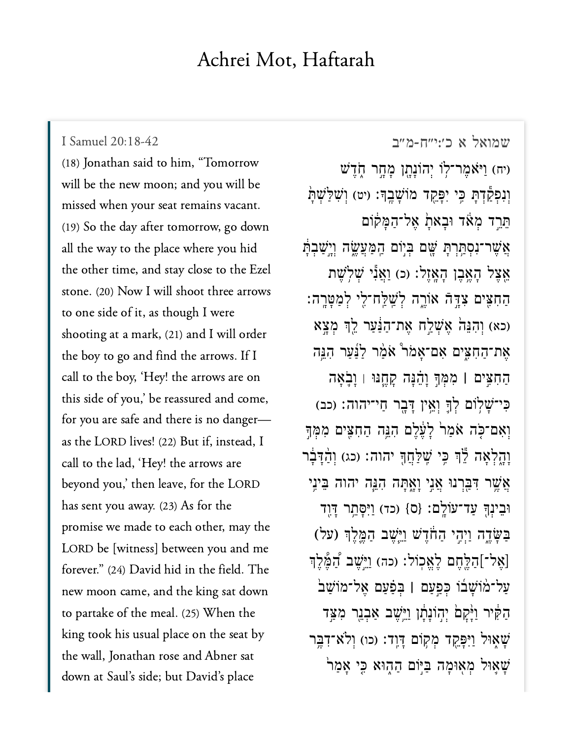## Achrei Mot, Haftarah

## I Samuel 20:18-42

I Samuel 20:18-42<br>(18) [Jonathan said t](https://www.sefaria.org/I%20Samuel%2020:18-42)o him, "Tomorrow will be the new moon; and you will be missed when your seat remains vacant.<br>(19) So the day after tomorrow, go down (19) So the day after tomorrow, go down all the way to the place where you hid the other time, and stay close to the Ezel stone. (20) Now I will shoot three arrows to one side of it, as though I were shooting at a mark,  $(21)$  and I will order the boy to go and find the arrows. If I call to the boy, 'Hey! the arrows are on this side of you,' be reassured and come, for you are safe and there is no dangeras the LORD lives! (22) But if, instead, I call to the lad, 'Hey! the arrows are beyond you,' then leave, for the LORD has sent you away.  $(23)$  As for the promise we made to each other, may the LORD be [witness] between you and me forever." (24) David hid in the field. The new moon came, and the king sat down to partake of the meal. (25) When the  $\frac{1}{2}$ king took his usual place on the seat by the wall, Jonathan rose and Abner sat down at Saul's side; but David's place

[שמואל א כ׳:י״ח-מ״ב](https://www.sefaria.org/I%20Samuel%2020:18-42) 20:18-42 Samuel I יח) וַיֹּאמֶר־לְוֹ יִהוֹנָתָן מַחֲר חָדֵשׁ וְנִפְקַדְתַּ כֵּי יִפָּקֵד מוֹשָׁבֵךָ: (יט) וְשָׁלַּשָׁתַּ ְתֵּרֵד מְאֹד וּבָאתָ אֱל־הַמַּקוֹם אֲשֶׁר־נְסְתֵּרְתַּ שֵׁם בְּיָוֹם הַמַּעֲשֶׂה וְיֵשָׁבְתַּ אֵצֵל הַאֱבֵן הָאֲזֵל: (כ) וַאֲנְ*י שְׁלְ*שֵׁת ַה ִח ִּ֖צ ים ִצ ָּ֣ד ֿה אֹוֶ֑ר ה ְל ַֽׁש ַּֽל ח־ִ֖ל י ְל ַמ ָּט ָֽר ה׃ כא) וְהָנָה אֲשָׁלֵח אֲת־הַ<sup>ּנ</sup>ַעֲר לֵךְ מַצֵּא אַת־הַחָצִים אַם־אַמֹר  $^{\circ}$ אַמַר הַנֵּה ַה ִח ִּ֣צ ים **׀** ִמ ְּמ ָ֣ך ָו ֵ֗ה ָּנ ה ָק ֶ֧ח ּנּו ׀ ָו ֹ֛ב ָא ה כִי־שַׁלְוֹם לְךָּ וְאֵין דַּבְר חַי־יהוה: (כב) וְאִם־כָּה אֹמַר לַעֵּ֫לֵם הָנֵּה הַחָצֵים מִמְּךָ וָהָלְאָה לֶ<sup>יְ</sup>ךְ כֵּי שֵׁלַּחֲךָּ יהוה: (כג) וְהַדָּבָ**֫ר** אֲשֶׁר דִּבְּרְנוּ אֲנֵי וַאֲתַּה הָנֵּה יהוה בִּינֵי ּוֹבֵינְךָּ עַד־עֹוֹלֵם: {ס} (כד) וַיִּסָּתֵר דָּוֶד ַבְּשָׂדֶה וַיְהָי הַחֹדֶשׁ וַיֵּשֶׁב הַמֱֶּלֶךְ (על)  $\overline{\phantom{a}}$ [אֶל־]הַלֶּחֶם לָאֱכְוֹל: (כה) וַיֵּשֵׁב דָּמֲלֵךְ ַע ל־֨מ ֹוָׁש ֜ב ֹו ְּכ ַ֣פַע ם **׀** ְּב ַ֗פ ַע ם ֶא ל־מֹוַׁש ֙ב הַקָּיִר וַיָּ֫קָםׂ יִהְוֹנָתָ֫ן וַיֵּשֵׁב אַבְנֵר מִצַּד ֿשַׁאָוּל וַיִּפַּקֵד מְקוֹם דַּוֶד: (כו) וְלֹא־דְבֵּר ֿשַׁאֲוּל מְאִוּמַה בַּיִּוֹם הַהְוּא כֵּי אַמַר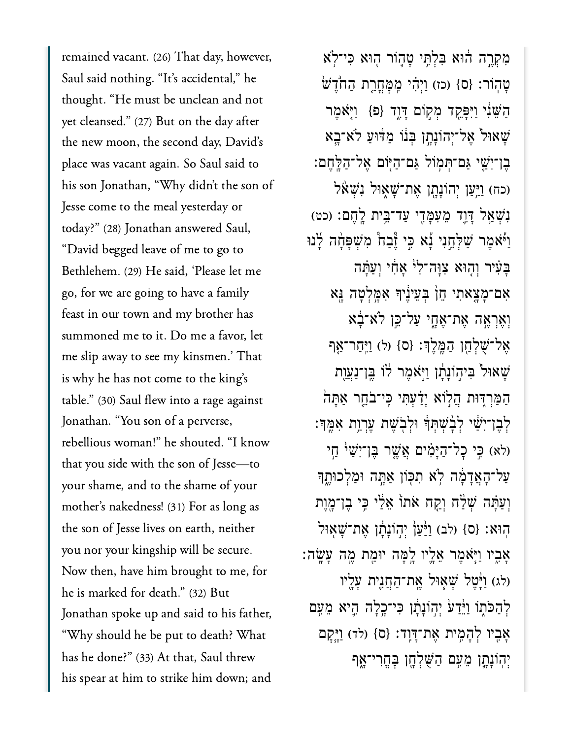vacant. (26) That day, however, Saul said nothing. "It's accidental," he )<br>Saul said nothing. "It's accidental," he<br>thought. "He must be unclean and not  $\frac{1}{2}$  thought. "He must be unclean and not<br>yet cleansed." (27) But on the day after yet cleansed." (27) But on the day after<br>the new moon, the second day, David's .<br>the new moon, the second day, David's<br>place was vacant again. So Saul said to place was vacant again. So Saul said to place was vacant again. So Saul said to<br>his son Jonathan, "Why didn't the son of<br>Jesse come to the meal vesterday or Jesse come to the meal yesterday or Jesse come to the meal yesterday or<br>today?" (28) Jonathan answered Saul,<br>"David begged leave of me to go to "David begged leave of me to go to "David begged leave of me to go to<br>Bethlehem. (29) He said, 'Please let me<br>go, for we are going to have a family go, for we are going to have a family<br>feast in our town and my brother has e<br>feast in our town and my brother has<br>summoned me to it. Do me a favor, let summoned me to it. Do me a favor, let<br>me slip away to see my kinsmen.' That me slip away to see my kinsmen.' Th<br>is why he has not come to the king's is why he has not come to the king's is why he has not come to the king's<br>table." (30) Saul flew into a rage against<br>Jonathan. "You son of a perverse, Jonathan. "You son of a perverse, Jonathan. "You son of a perverse,<br>rebellious woman!" he shouted. "I know<br>that you side with the son of Jesse—to that you side with the son of Jesse—to<br>vour shame, and to the shame of vour your shame, and to the shame of your<br>mother's nakedness! (31) For as long as .<br>mother's nakedness! (31) For as long as<br>the son of Jesse lives on earth, neither the son of Jesse lives on earth, neither<br>vou nor your kingship will be secure. you nor your kingship will be secure.<br>Now then, have him brought to me, for .<br>Now then, have him brought to<br>he is marked for death." (32) But he is marked for death." (32) But he is marked for death." (32) But<br>Ionathan spoke up and said to his father, Jonathan spoke up and said to his father<br>"Why should he be put to death? What<br>has he done?" (33) At that, Saul threw has he done?" (33) At that, Saul threw<br>his spear at him to strike him down; and

ִמְקֶ֣רה ֔הּוא ִּבְלִּ֥תי ָט֛הֹור ֖הּוא ִּכי־ֹ֥לא ּטָהְוֹר: {ס} (כז) וַיְּהִי מֶמַּחֲרֶת הַחֹדֵשׁ ָהַשֵּׁנִי וַיִּפָּקֵד מִקְוֹם דַּוֶד {פ<sub>ּ</sub>} וַיָּאֹמֶר ֿשָׁאוּל אֵל־יְהוֹנָתֶן בְּנוֹ מַדּוּעַ לֹא־בָא ֶבן־ִיַׁ֛שי ַּגם־ְּת֥מֹול ַּגם־ַהּ֖יֹום ֶאל־ַהָּֽלֶחם׃ וכח) וַיַּעַן יְהוֹנָתָן אֵת־שָׁאָוּל נִשְׁא נְשָׁאֲל דָּוֶד מֵעְמָּדֵי עַד־בֵּית לֻחֲם: (כט) ַוַּיֹּאמֶר שַׁלְחֵנִי נָֿא כֵּי זָּבָה מִשְׁפָּחָה לָנוּ ָבִעִּיר וְהָוּא צְוַה־לְ<sup>וֹ</sup> אֲחָי וְעֲתַּה ִאם־ָמָ֤צאִתי ֵח֙ן ְּבֵעיֶ֔ניָך ִאָּ֥מְלָטה ָּ֖נא וְאֶרְאֶה אֶת־אֶחֶי עַל־כֶּן לֹא־ָבָ<sup>ׂ</sup>א ֶאל־ֻׁשְלַ֖חן ַהֶּֽמֶלְך׃ }ס{ )ל( ַוִּֽיַחר־ַ֤אף ְּשָׁאוּל בִּיהִוֹנַתַן וַיִּאמֶר לֹו בֵּן־נַעֲוֶת ָהַמַּרְדִּוּת הֲלְוֹא יָדַׂעָתִּי כֵּי־בֹחֱר אַתָּה יָׂבֶן־יִשָּׁי לְבָ**ٰ**שְׁתִּֽדְּ וּלְבִ**ּ**שֵׁת עֵרְוֵת אָמֵדּֽ: (לא) כֵּי כָל־הַיָּמִים אֲשֶׁר בֵּן־יִשָׁי ּ חֵי ַעַל־הָאֲדָמָה לְא תִכְּוֹן אַתֶּה וּמַלְכוּתֶךָ וְעֲתֵּה שְׁלֵּח וְקֵח אֹתוֹ אֵ<sup>ּנ</sup>ַי כֵּי בֶן־מֶוֶת הִוּא: {ס} (לב) וַ<sup>גַּ</sup>עֲןְ יִהְוֹנַתַן אֵת־שָׁאִוּל ָאָבִיו וַיִּאָמֶר אֶלֵיו לֵמָּה יוּמֶת מֱה עָשֶׂה: (לג) וַ<sup>גְּ</sup>טֵל שַׁאִוּל אֲת־הַחֲנִית עַלֵיו לְהַכֹּתוֹ וַיֵּ֫דַע<sup>ׁ</sup> יִהְוֹנַתֲן כִּי־כֵרֲלָה הֵיא מֵעֵם אָבִיו לְהָמֶית אֶת־דָּוֶד: {ס} (לד) וַיֵּקָם יְהִוֹּנָתֵן מֵעֵם הַשִּׁלְחֵן בַּחֲרִי־**א**ָף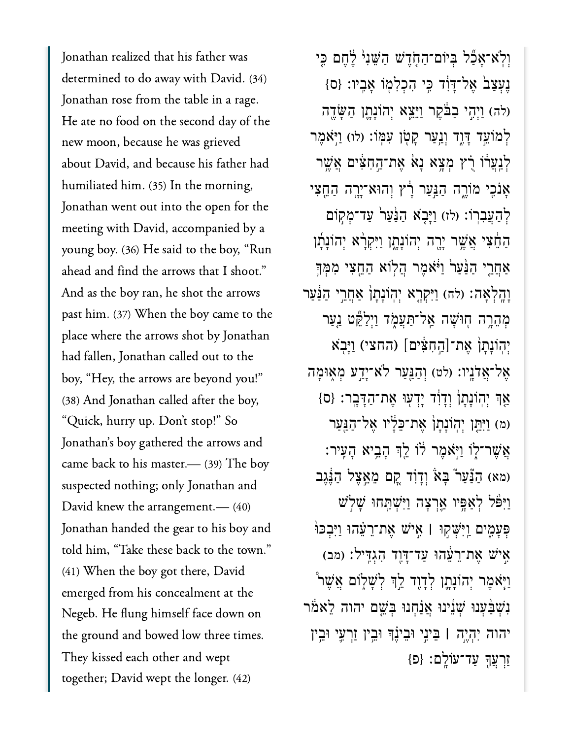<u>leading</u><br>Tonathan realized that his father was Jonathan realized that his father was<br>determined to do away with David. (34)<br>Jonathan rose from the table in a rage. Jonathan rose from the table in a rage.<br>He ate no food on the second day of the He ate no food on the second day of<br>new moon, because he was grieved new moon, because he was grieved new moon, because he was grieved<br>about David, and because his father had<br>humiliated him. (35) In the morning, humiliated him. (35) In the morning,<br>Jonathan went out into the open for the Jonathan went out into the open for the Jonathan went out into the open for the<br>meeting with David, accompanied by a<br>young boy. (36) He said to the boy, "Run young boy. (36) He said to the boy, "Rur<br>ahead and find the arrows that I shoot." )<br>ahead and find the arrows that I shoot.<br>And as the boy ran, he shot the arrows And as the boy ran, he shot the arrows And as the boy ran, he shot the arrows<br>past him. (37) When the boy came to the<br>place where the arrows shot by Jonathan .<br>place where the arrows shot by Jonath<br>had fallen, Ionathan called out to the had fallen, Jonathan called out to the .<br>had fallen, Jonathan called out to the<br>boy, "Hey, the arrows are beyond you!"<br>(38) And Jonathan called after the boy, w.<br>(38) And Jonathan called after the l<br>"Ouick, hurry up. Don't stop!" So "Quick, hurry up. Don't stop!" So "Quick, hurry up. Don't stop!" So<br>Jonathan's boy gathered the arrows and<br>came back to his master.— (39) The bov  $s$  came back to his master.— (39) The box suspected nothing; only Jonathan and suspected nothing; only Jonathan an<br>David knew the arrangement.— (40) David knew the arrangement.—  $(40)$ David knew the arrangement.— (40)<br>Jonathan handed the gear to his boy and<br>told him, "Take these back to the town." told him, "Take these back to the to<br>(41) When the bov got there, David (41) When the boy got there, David (41) When the boy got there, David<br>emerged from his concealment at the<br>Negeb. He flung himself face down on Negeb. He flung himself face down on<br>the ground and bowed low three times. the ground and bowed low three<br>They kissed each other and wept They kissed each other and wept together; David wept the longer. (42)

וִּלְאֹ־אַבְּל בְּיוֹם־הַחָדֵשׁ הַשֵּׁנִי לֶחֱם כֵּי ַנְעָצַבׂ אֱל־דָּוֹֽד כֵּי הִכְלְמְוֹ אָבִיו: {ס} (לה) וַיְהָי בַבֹּקֵר וַיֵּצֵא יְהוֹנָתֱן הַשֶּׂדֶה לְמֹוֹעֵד דָּוָד וְנַעַר קָטְן עִמְּוֹ: (לו) וַיְּאֹמֵר ַלְנַעֲרֹוֹ רָ֫ץ מְצֵא נָא אֶת־הֲחָצִים אֲשֵׁר ָאַנֹכִי מֹוֹרֶה הַנֵּעַר רָ֫ץ וְהוּא־יָרֱה הַחֵֵצִי לְהָעֲבְרֹוֹ: (לז) וַיַּבְאׁ הַּנַּעַר עַד־מִקְוֹם ַהֵ֔חִצי ֲאֶׁ֥שר ָיָ֖רה ְיהֹוָנָ֑תן ַוִּיְקָ֨רא ְיהֹוָנָ֜תן ַאֲחֲרֵי הַנַּעַרֹ וַיֹּאמֶר הֲלִוֹא הַחֵצִי מְמִךְ וָהָלְאָה: (לח) וַיִּקְרָא יְהִוֹנָתָן אַחֲרֵי הַבַּּעַר מְהֵרֶה חָוּשָׁה אָל־תַּעֲמֶד וַיְלַקֵּט נַעַר ִיְיָהֵיִה חֻוּשָׁה אֲל־תַּעֲמֶד וַיְלַקֵּט נַעֲ<br>מְהֵרֶה חְוּשָׁה אֲל־תַּעֲמֶד וַיְלַקֵּט נַעֲ<br>יְהְוֹנָתָן אֶת־[הַחִּצִּים] (החצי) וַיָּבָא ָאֲל־אֲדֹנֵיו: (לט) וְהַנֵּעַר לֹא־יַדֵע מְאִוּמַה ַאָךְ יִהְוֹנָתַן ְוָדָוִד יַדְעִוּ אֶת־הַדָּבָר: {ס} )מ( ַוִּיֵּ֤תן ְיֽהֹוָנָת֙ן ֶאת־ֵּכָ֔ליו ֶאל־ַהַּ֖נַער יִאָּשֶׁר־לְוֹ וַיְ*ּׂא*ָמֶר לֹוֹ לֵךְ הָבֵיא הָעֵיר: (מא) הַנַּֿעַר בָּאׂ וְדָוִד קֶם מֵאֵצֵל הַנֵּגֵב ַוַיִּפֿל לְאַפֵּיו אֲרִצָה וַיִּשְׁתַּחוּ שַׁלְשׁ ְּפָעִ֑מים ַֽוִּיְּׁש֣קּו **׀** ִ֣איׁש ֶאת־ֵרֵ֗עהּו ַוִּיְבּכּ֙ו (מב) אי*ָשׁ אֶת־רֲעֲ*הוּ עַד־דָּוֶד הָגְדֵּיל: וַיִּאָמֶר יִהוֹנַתַן לְדָוֶד לֵדְּ לְשָׁלִוֹם אֲשֶׁר ַנְשָׁבָּٰעָנוּ שָׁנֵינוּ אֲנָחָנוּ בְּשֵׁם יהוה לֵאמֹר יהוה ִיְהֶ֣יה **׀** ֵּביִ֣ני ּוֵביֶ֗נָך ּוֵ֥בין ַזְרִ֛עי ּוֵ֥בין ַזְרֲעָ֖ך ַעד־עֹוָֽלם׃ }פ{